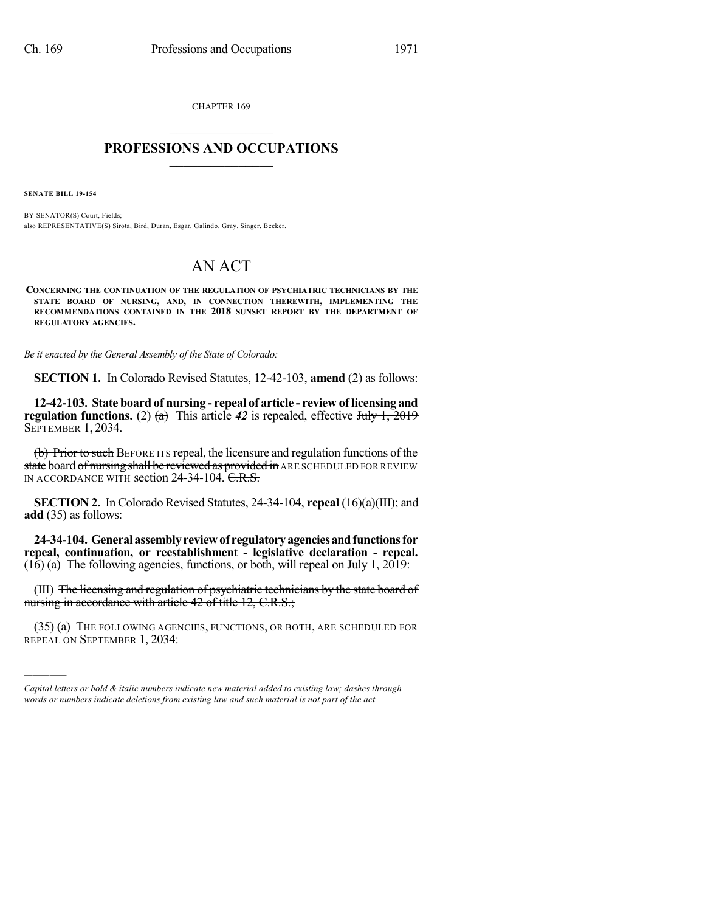CHAPTER 169  $\mathcal{L}_\text{max}$  . The set of the set of the set of the set of the set of the set of the set of the set of the set of the set of the set of the set of the set of the set of the set of the set of the set of the set of the set

## **PROFESSIONS AND OCCUPATIONS**  $\frac{1}{2}$  ,  $\frac{1}{2}$  ,  $\frac{1}{2}$  ,  $\frac{1}{2}$  ,  $\frac{1}{2}$  ,  $\frac{1}{2}$  ,  $\frac{1}{2}$

**SENATE BILL 19-154**

)))))

BY SENATOR(S) Court, Fields; also REPRESENTATIVE(S) Sirota, Bird, Duran, Esgar, Galindo, Gray, Singer, Becker.

## AN ACT

**CONCERNING THE CONTINUATION OF THE REGULATION OF PSYCHIATRIC TECHNICIANS BY THE STATE BOARD OF NURSING, AND, IN CONNECTION THEREWITH, IMPLEMENTING THE RECOMMENDATIONS CONTAINED IN THE 2018 SUNSET REPORT BY THE DEPARTMENT OF REGULATORY AGENCIES.**

*Be it enacted by the General Assembly of the State of Colorado:*

**SECTION 1.** In Colorado Revised Statutes, 12-42-103, **amend** (2) as follows:

**12-42-103. State board of nursing - repeal of article - review of licensing and regulation functions.** (2)  $(a)$  This article 42 is repealed, effective July 1, 2019 SEPTEMBER 1, 2034.

(b) Prior to such BEFORE ITS repeal, the licensure and regulation functions of the state board of nursing shall be reviewed as provided in ARE SCHEDULED FOR REVIEW IN ACCORDANCE WITH section 24-34-104. C.R.S.

**SECTION 2.** In Colorado Revised Statutes, 24-34-104, **repeal** (16)(a)(III); and **add** (35) as follows:

**24-34-104. Generalassemblyreviewof regulatoryagenciesandfunctionsfor repeal, continuation, or reestablishment - legislative declaration - repeal.**  $(16)$  (a) The following agencies, functions, or both, will repeal on July 1, 2019:

(III) The licensing and regulation of psychiatric technicians by the state board of nursing in accordance with article 42 of title 12, C.R.S.;

(35) (a) THE FOLLOWING AGENCIES, FUNCTIONS, OR BOTH, ARE SCHEDULED FOR REPEAL ON SEPTEMBER 1, 2034:

*Capital letters or bold & italic numbers indicate new material added to existing law; dashes through words or numbers indicate deletions from existing law and such material is not part of the act.*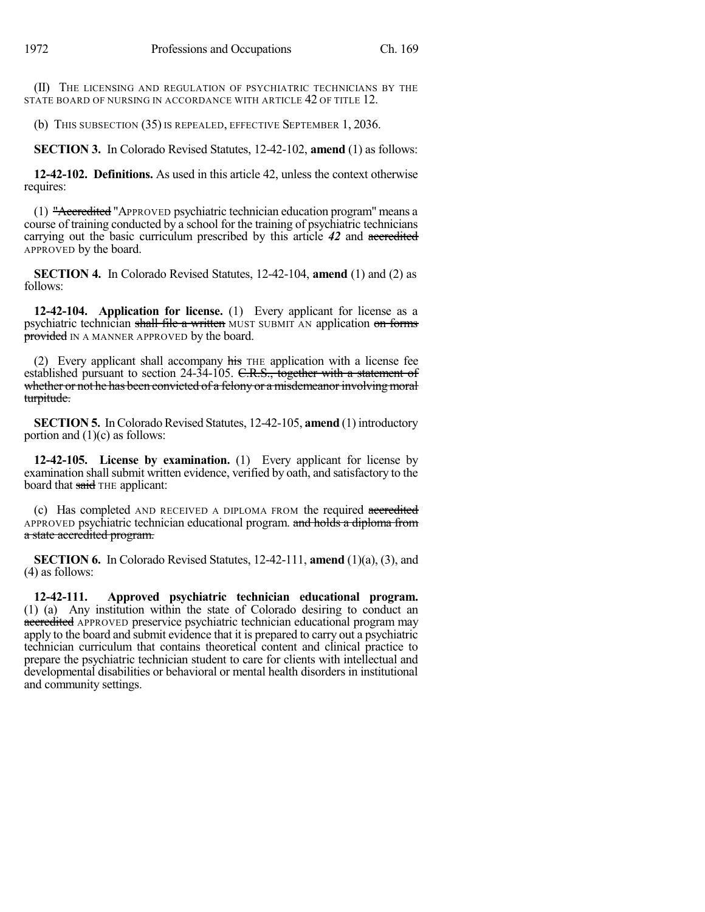(II) THE LICENSING AND REGULATION OF PSYCHIATRIC TECHNICIANS BY THE STATE BOARD OF NURSING IN ACCORDANCE WITH ARTICLE 42 OF TITLE 12.

(b) THIS SUBSECTION (35) IS REPEALED, EFFECTIVE SEPTEMBER 1, 2036.

**SECTION 3.** In Colorado Revised Statutes, 12-42-102, **amend** (1) as follows:

**12-42-102. Definitions.** As used in this article 42, unless the context otherwise requires:

(1) "Accredited "APPROVED psychiatric technician education program" means a course of training conducted by a school for the training of psychiatric technicians carrying out the basic curriculum prescribed by this article *42* and accredited APPROVED by the board.

**SECTION 4.** In Colorado Revised Statutes, 12-42-104, **amend** (1) and (2) as follows:

**12-42-104. Application for license.** (1) Every applicant for license as a psychiatric technician shall file a written MUST SUBMIT AN application on forms provided IN A MANNER APPROVED by the board.

(2) Every applicant shall accompany  $\overline{h}$  as the application with a license fee established pursuant to section 24-34-105. C.R.S., together with a statement of whether or not he has been convicted of a felony or a misdemeanor involving moral turpitude.

**SECTION 5.** In Colorado Revised Statutes, 12-42-105, **amend** (1) introductory portion and  $(1)(c)$  as follows:

**12-42-105. License by examination.** (1) Every applicant for license by examination shall submit written evidence, verified by oath, and satisfactory to the board that said THE applicant:

(c) Has completed AND RECEIVED A DIPLOMA FROM the required accredited APPROVED psychiatric technician educational program. and holds a diploma from a state accredited program.

**SECTION 6.** In Colorado Revised Statutes, 12-42-111, **amend** (1)(a), (3), and (4) as follows:

**12-42-111. Approved psychiatric technician educational program.** (1) (a) Any institution within the state of Colorado desiring to conduct an accredited APPROVED preservice psychiatric technician educational program may apply to the board and submit evidence that it is prepared to carry out a psychiatric technician curriculum that contains theoretical content and clinical practice to prepare the psychiatric technician student to care for clients with intellectual and developmental disabilities or behavioral or mental health disorders in institutional and community settings.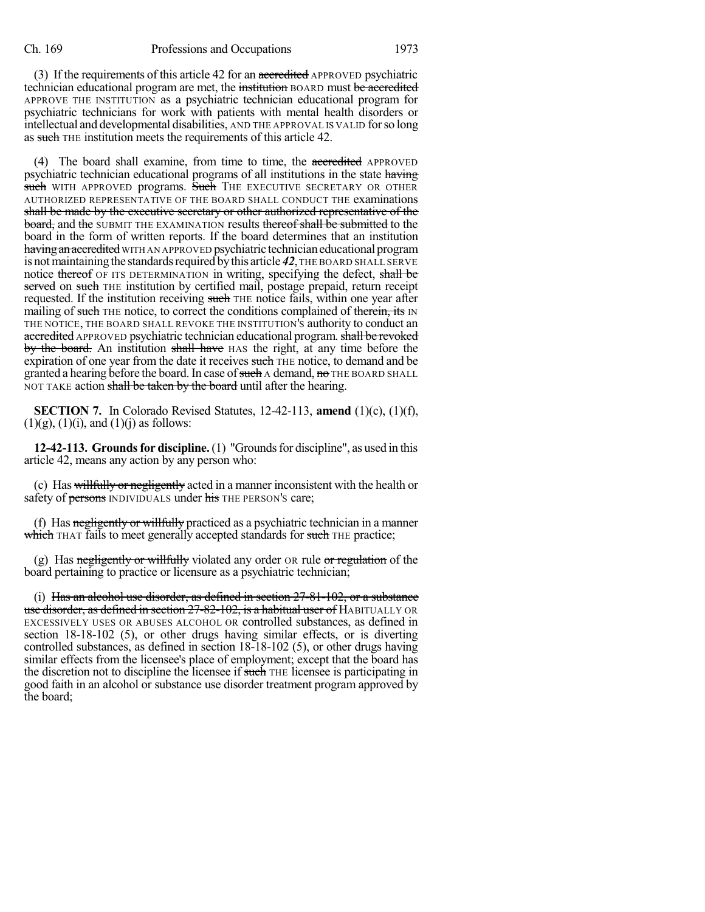(3) If the requirements of this article 42 for an accredited APPROVED psychiatric technician educational program are met, the institution BOARD must be accredited APPROVE THE INSTITUTION as a psychiatric technician educational program for psychiatric technicians for work with patients with mental health disorders or intellectual and developmental disabilities, AND THE APPROVAL IS VALID forso long as such THE institution meets the requirements of this article 42.

(4) The board shall examine, from time to time, the accredited APPROVED psychiatric technician educational programs of all institutions in the state having such WITH APPROVED programs. Such THE EXECUTIVE SECRETARY OR OTHER AUTHORIZED REPRESENTATIVE OF THE BOARD SHALL CONDUCT THE examinations shall be made by the executive secretary or other authorized representative of the **board, and the SUBMIT THE EXAMINATION results thereof shall be submitted to the** board in the form of written reports. If the board determines that an institution having an accredited WITH AN APPROVED psychiatric technician educational program is not maintaining the standards required by this article 42, THE BOARD SHALL SERVE notice thereof OF ITS DETERMINATION in writing, specifying the defect, shall be served on such THE institution by certified mail, postage prepaid, return receipt requested. If the institution receiving such THE notice fails, within one year after mailing of such THE notice, to correct the conditions complained of therein, its IN THE NOTICE, THE BOARD SHALL REVOKE THE INSTITUTION'S authority to conduct an accredited APPROVED psychiatric technician educational program. shall be revoked by the board. An institution shall have HAS the right, at any time before the expiration of one year from the date it receives such THE notice, to demand and be granted a hearing before the board. In case of such A demand, no THE BOARD SHALL NOT TAKE action shall be taken by the board until after the hearing.

**SECTION 7.** In Colorado Revised Statutes, 12-42-113, **amend** (1)(c), (1)(f),  $(1)(g)$ ,  $(1)(i)$ , and  $(1)(j)$  as follows:

**12-42-113. Grounds for discipline.** (1) "Grounds for discipline", as used in this article 42, means any action by any person who:

(c) Has willfully or negligently acted in a manner inconsistent with the health or safety of persons INDIVIDUALS under his THE PERSON's care;

(f) Has  $\frac{1}{\text{negligently or will fully practiced}}$  as a psychiatric technician in a manner which THAT fails to meet generally accepted standards for such THE practice;

(g) Has negligently or willfully violated any order  $\alpha$  rule or regulation of the board pertaining to practice or licensure as a psychiatric technician;

(i) Has an alcohol use disorder, as defined in section 27-81-102, or a substance use disorder, as defined in section 27-82-102, is a habitual user of HABITUALLY OR EXCESSIVELY USES OR ABUSES ALCOHOL OR controlled substances, as defined in section 18-18-102 (5), or other drugs having similar effects, or is diverting controlled substances, as defined in section 18-18-102 (5), or other drugs having similar effects from the licensee's place of employment; except that the board has the discretion not to discipline the licensee if such THE licensee is participating in good faith in an alcohol or substance use disorder treatment program approved by the board;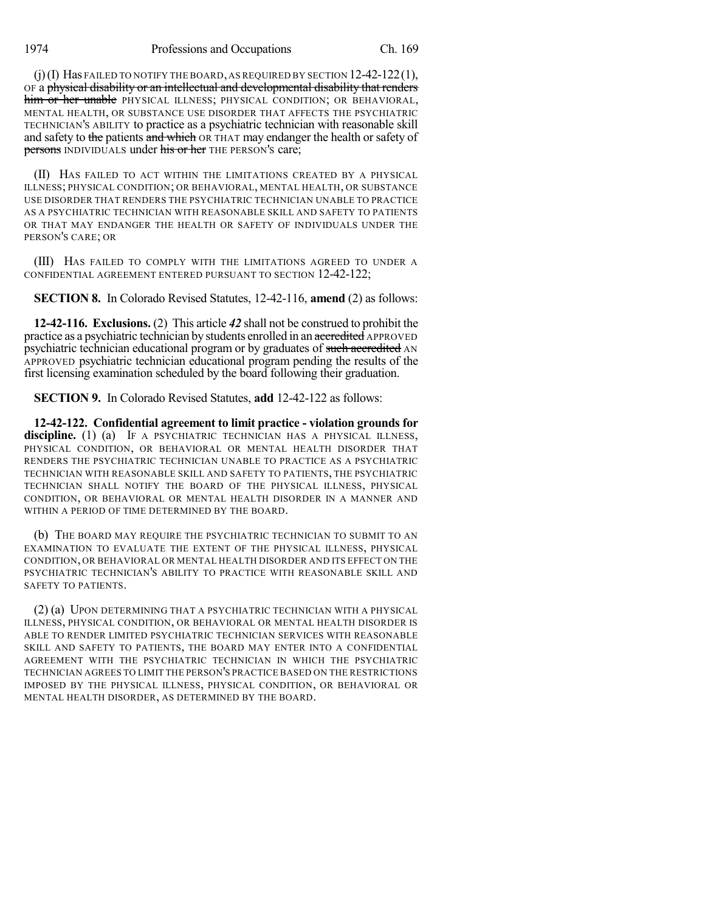1974 Professions and Occupations Ch. 169

(j)(I) Has FAILED TO NOTIFY THE BOARD,AS REQUIRED BY SECTION 12-42-122(1), OF a physical disability or an intellectual and developmental disability that renders him or her unable PHYSICAL ILLNESS; PHYSICAL CONDITION; OR BEHAVIORAL, MENTAL HEALTH, OR SUBSTANCE USE DISORDER THAT AFFECTS THE PSYCHIATRIC TECHNICIAN'S ABILITY to practice as a psychiatric technician with reasonable skill and safety to the patients and which OR THAT may endanger the health or safety of persons INDIVIDUALS under his or her THE PERSON'S care;

(II) HAS FAILED TO ACT WITHIN THE LIMITATIONS CREATED BY A PHYSICAL ILLNESS; PHYSICAL CONDITION; OR BEHAVIORAL, MENTAL HEALTH, OR SUBSTANCE USE DISORDER THAT RENDERS THE PSYCHIATRIC TECHNICIAN UNABLE TO PRACTICE AS A PSYCHIATRIC TECHNICIAN WITH REASONABLE SKILL AND SAFETY TO PATIENTS OR THAT MAY ENDANGER THE HEALTH OR SAFETY OF INDIVIDUALS UNDER THE PERSON'S CARE; OR

(III) HAS FAILED TO COMPLY WITH THE LIMITATIONS AGREED TO UNDER A CONFIDENTIAL AGREEMENT ENTERED PURSUANT TO SECTION 12-42-122;

**SECTION 8.** In Colorado Revised Statutes, 12-42-116, **amend** (2) as follows:

**12-42-116. Exclusions.** (2) This article *42* shall not be construed to prohibit the practice as a psychiatric technician by students enrolled in an accredited APPROVED psychiatric technician educational program or by graduates of such accredited AN APPROVED psychiatric technician educational program pending the results of the first licensing examination scheduled by the board following their graduation.

**SECTION 9.** In Colorado Revised Statutes, **add** 12-42-122 as follows:

**12-42-122. Confidential agreement to limit practice - violation grounds for** discipline. (1) (a) IF A PSYCHIATRIC TECHNICIAN HAS A PHYSICAL ILLNESS, PHYSICAL CONDITION, OR BEHAVIORAL OR MENTAL HEALTH DISORDER THAT RENDERS THE PSYCHIATRIC TECHNICIAN UNABLE TO PRACTICE AS A PSYCHIATRIC TECHNICIAN WITH REASONABLE SKILL AND SAFETY TO PATIENTS, THE PSYCHIATRIC TECHNICIAN SHALL NOTIFY THE BOARD OF THE PHYSICAL ILLNESS, PHYSICAL CONDITION, OR BEHAVIORAL OR MENTAL HEALTH DISORDER IN A MANNER AND WITHIN A PERIOD OF TIME DETERMINED BY THE BOARD.

(b) THE BOARD MAY REQUIRE THE PSYCHIATRIC TECHNICIAN TO SUBMIT TO AN EXAMINATION TO EVALUATE THE EXTENT OF THE PHYSICAL ILLNESS, PHYSICAL CONDITION, OR BEHAVIORAL OR MENTAL HEALTH DISORDER AND ITS EFFECT ON THE PSYCHIATRIC TECHNICIAN'S ABILITY TO PRACTICE WITH REASONABLE SKILL AND SAFETY TO PATIENTS.

(2) (a) UPON DETERMINING THAT A PSYCHIATRIC TECHNICIAN WITH A PHYSICAL ILLNESS, PHYSICAL CONDITION, OR BEHAVIORAL OR MENTAL HEALTH DISORDER IS ABLE TO RENDER LIMITED PSYCHIATRIC TECHNICIAN SERVICES WITH REASONABLE SKILL AND SAFETY TO PATIENTS, THE BOARD MAY ENTER INTO A CONFIDENTIAL AGREEMENT WITH THE PSYCHIATRIC TECHNICIAN IN WHICH THE PSYCHIATRIC TECHNICIAN AGREES TO LIMIT THE PERSON'S PRACTICE BASED ON THE RESTRICTIONS IMPOSED BY THE PHYSICAL ILLNESS, PHYSICAL CONDITION, OR BEHAVIORAL OR MENTAL HEALTH DISORDER, AS DETERMINED BY THE BOARD.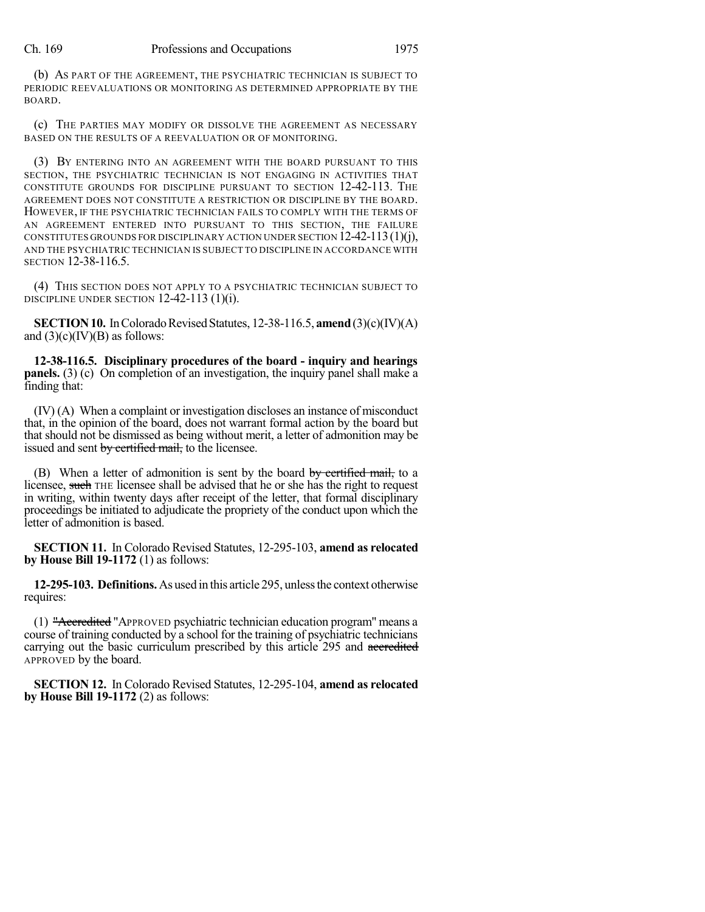(b) AS PART OF THE AGREEMENT, THE PSYCHIATRIC TECHNICIAN IS SUBJECT TO PERIODIC REEVALUATIONS OR MONITORING AS DETERMINED APPROPRIATE BY THE BOARD.

(c) THE PARTIES MAY MODIFY OR DISSOLVE THE AGREEMENT AS NECESSARY BASED ON THE RESULTS OF A REEVALUATION OR OF MONITORING.

(3) BY ENTERING INTO AN AGREEMENT WITH THE BOARD PURSUANT TO THIS SECTION, THE PSYCHIATRIC TECHNICIAN IS NOT ENGAGING IN ACTIVITIES THAT CONSTITUTE GROUNDS FOR DISCIPLINE PURSUANT TO SECTION 12-42-113. THE AGREEMENT DOES NOT CONSTITUTE A RESTRICTION OR DISCIPLINE BY THE BOARD. HOWEVER, IF THE PSYCHIATRIC TECHNICIAN FAILS TO COMPLY WITH THE TERMS OF AN AGREEMENT ENTERED INTO PURSUANT TO THIS SECTION, THE FAILURE CONSTITUTES GROUNDS FOR DISCIPLINARY ACTION UNDER SECTION  $12-42-113(1)(j)$ , AND THE PSYCHIATRIC TECHNICIAN IS SUBJECT TO DISCIPLINE IN ACCORDANCE WITH SECTION 12-38-116.5.

(4) THIS SECTION DOES NOT APPLY TO A PSYCHIATRIC TECHNICIAN SUBJECT TO DISCIPLINE UNDER SECTION 12-42-113 (1)(i).

**SECTION 10.** In Colorado Revised Statutes, 12-38-116.5, **amend** (3)(c)(IV)(A) and  $(3)(c)(IV)(B)$  as follows:

**12-38-116.5. Disciplinary procedures of the board - inquiry and hearings panels.** (3) (c) On completion of an investigation, the inquiry panel shall make a finding that:

(IV) (A) When a complaint or investigation discloses an instance of misconduct that, in the opinion of the board, does not warrant formal action by the board but that should not be dismissed as being without merit, a letter of admonition may be issued and sent by certified mail, to the licensee.

(B) When a letter of admonition is sent by the board by certified mail, to a licensee, such THE licensee shall be advised that he or she has the right to request in writing, within twenty days after receipt of the letter, that formal disciplinary proceedings be initiated to adjudicate the propriety of the conduct upon which the letter of admonition is based.

**SECTION 11.** In Colorado Revised Statutes, 12-295-103, **amend as relocated by House Bill 19-1172** (1) as follows:

**12-295-103. Definitions.**As used in this article 295, unlessthe context otherwise requires:

(1) "Accredited "APPROVED psychiatric technician education program" means a course of training conducted by a school for the training of psychiatric technicians carrying out the basic curriculum prescribed by this article 295 and accredited APPROVED by the board.

**SECTION 12.** In Colorado Revised Statutes, 12-295-104, **amend as relocated by House Bill 19-1172** (2) as follows: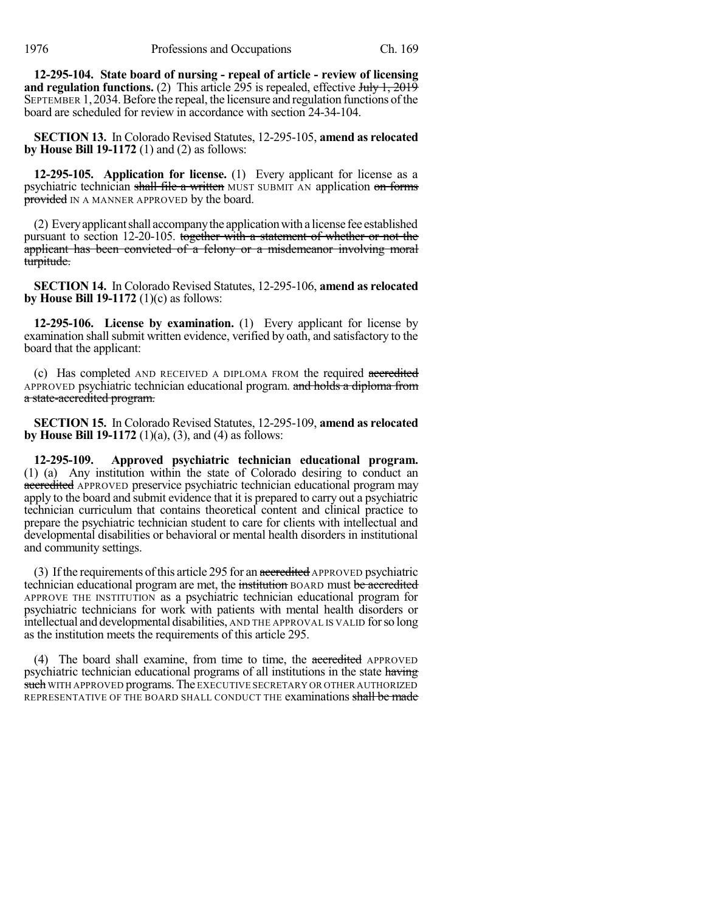**12-295-104. State board of nursing - repeal of article - review of licensing and regulation functions.** (2) This article 295 is repealed, effective July 1, 2019 SEPTEMBER 1, 2034. Before the repeal, the licensure and regulation functions of the board are scheduled for review in accordance with section 24-34-104.

**SECTION 13.** In Colorado Revised Statutes, 12-295-105, **amend as relocated by House Bill 19-1172** (1) and (2) as follows:

**12-295-105. Application for license.** (1) Every applicant for license as a psychiatric technician shall file a written MUST SUBMIT AN application on forms provided IN A MANNER APPROVED by the board.

(2) Everyapplicantshall accompanythe applicationwith a license fee established pursuant to section 12-20-105. together with a statement of whether or not the applicant has been convicted of a felony or a misdemeanor involving moral turpitude.

**SECTION 14.** In Colorado Revised Statutes, 12-295-106, **amend as relocated by House Bill 19-1172** (1)(c) as follows:

**12-295-106. License by examination.** (1) Every applicant for license by examination shall submit written evidence, verified by oath, and satisfactory to the board that the applicant:

(c) Has completed AND RECEIVED A DIPLOMA FROM the required accredited APPROVED psychiatric technician educational program. and holds a diploma from a state-accredited program.

**SECTION 15.** In Colorado Revised Statutes, 12-295-109, **amend as relocated by House Bill 19-1172** (1)(a), (3), and (4) as follows:

**12-295-109. Approved psychiatric technician educational program.** (1) (a) Any institution within the state of Colorado desiring to conduct an accredited APPROVED preservice psychiatric technician educational program may apply to the board and submit evidence that it is prepared to carry out a psychiatric technician curriculum that contains theoretical content and clinical practice to prepare the psychiatric technician student to care for clients with intellectual and developmental disabilities or behavioral or mental health disorders in institutional and community settings.

(3) If the requirements of this article 295 for an accredited APPROVED psychiatric technician educational program are met, the institution BOARD must be accredited APPROVE THE INSTITUTION as a psychiatric technician educational program for psychiatric technicians for work with patients with mental health disorders or intellectual and developmental disabilities, AND THE APPROVAL IS VALID forso long as the institution meets the requirements of this article 295.

(4) The board shall examine, from time to time, the accredited APPROVED psychiatric technician educational programs of all institutions in the state having such WITH APPROVED programs. The EXECUTIVE SECRETARY OR OTHER AUTHORIZED REPRESENTATIVE OF THE BOARD SHALL CONDUCT THE examinations shall be made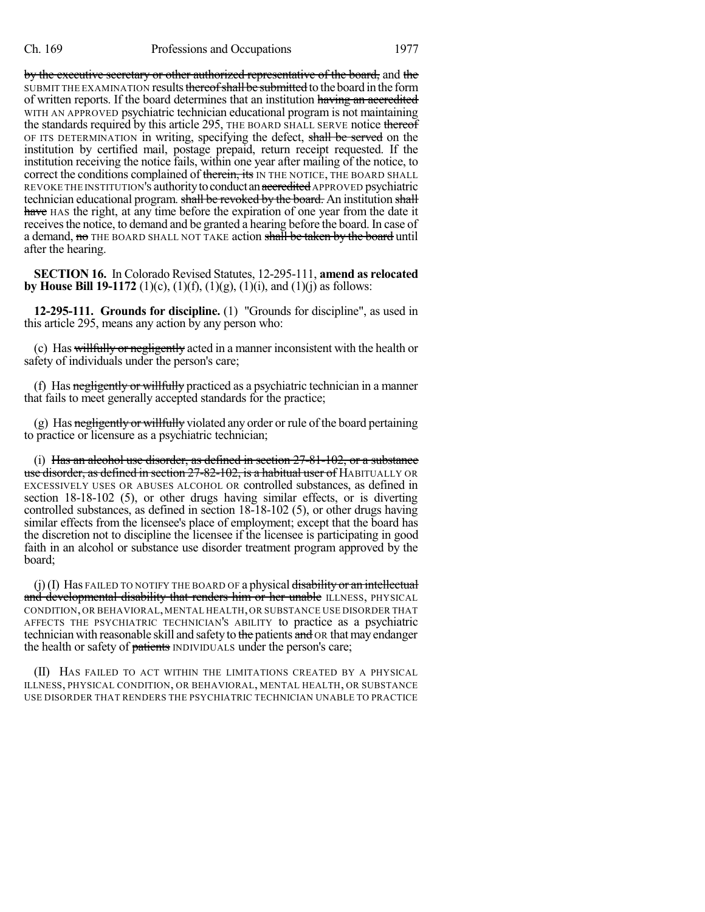by the executive secretary or other authorized representative of the board, and the SUBMIT THE EXAMINATION results thereof shall be submitted to the board in the form of written reports. If the board determines that an institution having an accredited WITH AN APPROVED psychiatric technician educational program is not maintaining the standards required by this article 295, THE BOARD SHALL SERVE notice thereof OF ITS DETERMINATION in writing, specifying the defect, shall be served on the institution by certified mail, postage prepaid, return receipt requested. If the institution receiving the notice fails, within one year after mailing of the notice, to correct the conditions complained of therein, its IN THE NOTICE, THE BOARD SHALL REVOKE THE INSTITUTION'S authority to conduct an accredited APPROVED psychiatric technician educational program. shall be revoked by the board. An institution shall have HAS the right, at any time before the expiration of one year from the date it receives the notice, to demand and be granted a hearing before the board. In case of a demand, no THE BOARD SHALL NOT TAKE action shall be taken by the board until after the hearing.

**SECTION 16.** In Colorado Revised Statutes, 12-295-111, **amend as relocated by House Bill 19-1172** (1)(c), (1)(f), (1)(g), (1)(i), and (1)(j) as follows:

**12-295-111. Grounds for discipline.** (1) "Grounds for discipline", as used in this article 295, means any action by any person who:

(c) Has willfully or negligently acted in a manner inconsistent with the health or safety of individuals under the person's care;

(f) Has negligently or willfully practiced as a psychiatric technician in a manner that fails to meet generally accepted standards for the practice;

(g) Has negligently or willfully violated any order or rule of the board pertaining to practice or licensure as a psychiatric technician;

(i) Has an alcohol use disorder, as defined in section  $27-81-102$ , or a substance use disorder, as defined in section 27-82-102, is a habitual user of HABITUALLY OR EXCESSIVELY USES OR ABUSES ALCOHOL OR controlled substances, as defined in section 18-18-102 (5), or other drugs having similar effects, or is diverting controlled substances, as defined in section 18-18-102 (5), or other drugs having similar effects from the licensee's place of employment; except that the board has the discretion not to discipline the licensee if the licensee is participating in good faith in an alcohol or substance use disorder treatment program approved by the board;

 $(j)$ (I) Has FAILED TO NOTIFY THE BOARD OF a physical disability or an intellectual and developmental disability that renders him or her unable ILLNESS, PHYSICAL CONDITION, OR BEHAVIORAL,MENTAL HEALTH, OR SUBSTANCE USE DISORDER THAT AFFECTS THE PSYCHIATRIC TECHNICIAN'S ABILITY to practice as a psychiatric technician with reasonable skill and safety to the patients and OR that may endanger the health or safety of patients INDIVIDUALS under the person's care;

(II) HAS FAILED TO ACT WITHIN THE LIMITATIONS CREATED BY A PHYSICAL ILLNESS, PHYSICAL CONDITION, OR BEHAVIORAL, MENTAL HEALTH, OR SUBSTANCE USE DISORDER THAT RENDERS THE PSYCHIATRIC TECHNICIAN UNABLE TO PRACTICE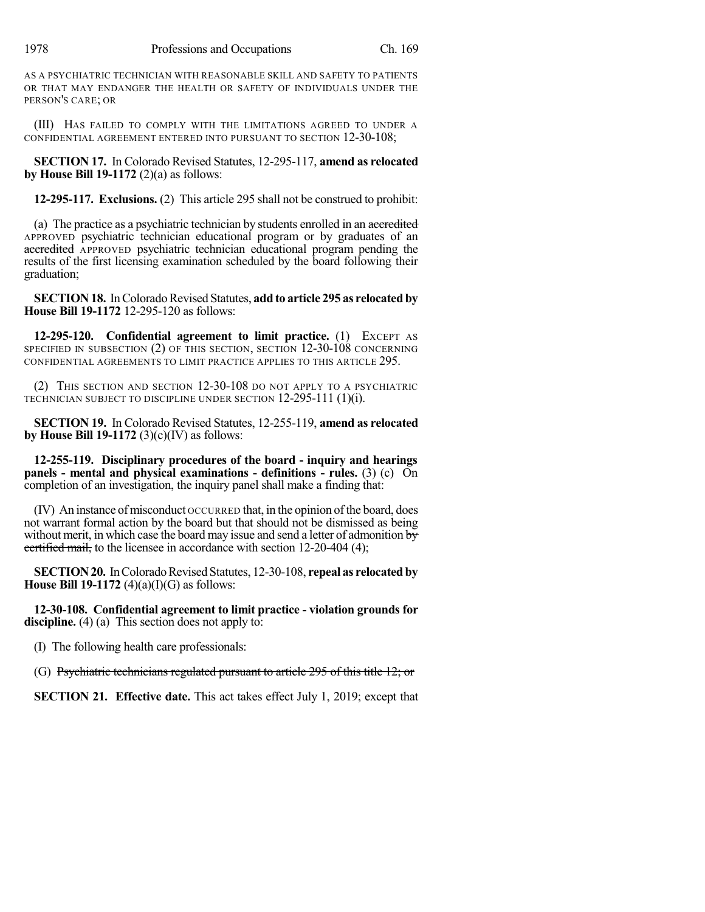AS A PSYCHIATRIC TECHNICIAN WITH REASONABLE SKILL AND SAFETY TO PATIENTS OR THAT MAY ENDANGER THE HEALTH OR SAFETY OF INDIVIDUALS UNDER THE PERSON'S CARE; OR

(III) HAS FAILED TO COMPLY WITH THE LIMITATIONS AGREED TO UNDER A CONFIDENTIAL AGREEMENT ENTERED INTO PURSUANT TO SECTION 12-30-108;

**SECTION 17.** In Colorado Revised Statutes, 12-295-117, **amend as relocated by House Bill 19-1172** (2)(a) as follows:

**12-295-117. Exclusions.** (2) This article 295 shall not be construed to prohibit:

(a) The practice as a psychiatric technician by students enrolled in an accredited APPROVED psychiatric technician educational program or by graduates of an accredited APPROVED psychiatric technician educational program pending the results of the first licensing examination scheduled by the board following their graduation;

**SECTION18.** InColoradoRevised Statutes, **add to article 295 as relocated by House Bill 19-1172** 12-295-120 as follows:

**12-295-120. Confidential agreement to limit practice.** (1) EXCEPT AS SPECIFIED IN SUBSECTION (2) OF THIS SECTION, SECTION 12-30-108 CONCERNING CONFIDENTIAL AGREEMENTS TO LIMIT PRACTICE APPLIES TO THIS ARTICLE 295.

(2) THIS SECTION AND SECTION 12-30-108 DO NOT APPLY TO A PSYCHIATRIC TECHNICIAN SUBJECT TO DISCIPLINE UNDER SECTION 12-295-111 (1)(i).

**SECTION 19.** In Colorado Revised Statutes, 12-255-119, **amend as relocated by House Bill 19-1172** (3)(c)(IV) as follows:

**12-255-119. Disciplinary procedures of the board - inquiry and hearings panels - mental and physical examinations - definitions - rules.** (3) (c) On completion of an investigation, the inquiry panel shall make a finding that:

(IV) An instance ofmisconduct OCCURRED that, in the opinion ofthe board, does not warrant formal action by the board but that should not be dismissed as being without merit, in which case the board may issue and send a letter of admonition  $\overline{by}$ ecrified mail, to the licensee in accordance with section 12-20-404 (4);

**SECTION20.** InColoradoRevised Statutes, 12-30-108, **repeal as relocated by House Bill 19-1172** (4)(a)(I)(G) as follows:

**12-30-108. Confidential agreement to limit practice - violation grounds for** discipline. (4) (a) This section does not apply to:

(I) The following health care professionals:

(G) Psychiatric technicians regulated pursuant to article 295 of this title 12; or

**SECTION 21. Effective date.** This act takes effect July 1, 2019; except that